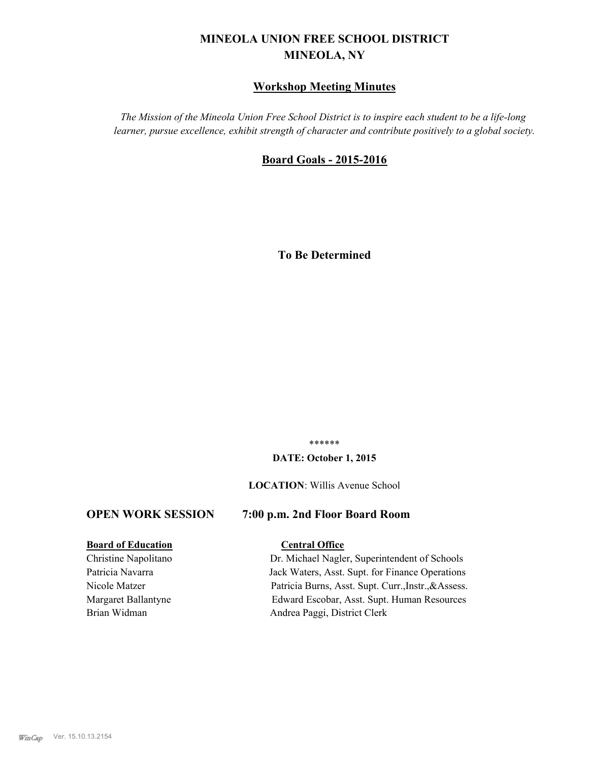# **MINEOLA UNION FREE SCHOOL DISTRICT MINEOLA, NY**

## **Workshop Meeting Minutes**

*The Mission of the Mineola Union Free School District is to inspire each student to be a life-long learner, pursue excellence, exhibit strength of character and contribute positively to a global society.*

## **Board Goals - 2015-2016**

**To Be Determined**

\*\*\*\*\*\*

#### **DATE: October 1, 2015**

#### **LOCATION**: Willis Avenue School

## **OPEN WORK SESSION 7:00 p.m. 2nd Floor Board Room**

#### **Board of Education Central Office**

Christine Napolitano Dr. Michael Nagler, Superintendent of Schools Patricia Navarra Jack Waters, Asst. Supt. for Finance Operations Nicole Matzer Patricia Burns, Asst. Supt. Curr.,Instr.,&Assess. Margaret Ballantyne Edward Escobar, Asst. Supt. Human Resources Brian Widman Andrea Paggi, District Clerk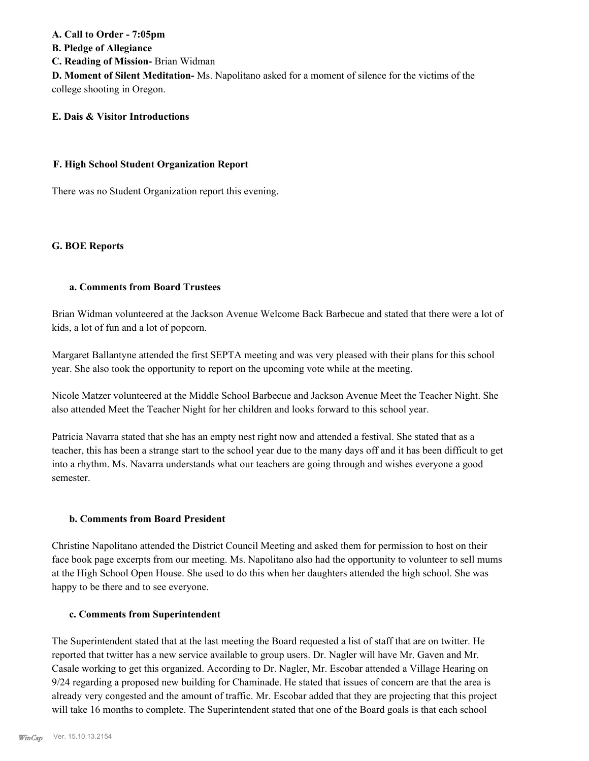# **A. Call to Order - 7:05pm B. Pledge of Allegiance C. Reading of Mission-** Brian Widman **D. Moment of Silent Meditation-** Ms. Napolitano asked for a moment of silence for the victims of the college shooting in Oregon.

## **E. Dais & Visitor Introductions**

### **F. High School Student Organization Report**

There was no Student Organization report this evening.

### **G. BOE Reports**

### **a. Comments from Board Trustees**

Brian Widman volunteered at the Jackson Avenue Welcome Back Barbecue and stated that there were a lot of kids, a lot of fun and a lot of popcorn.

Margaret Ballantyne attended the first SEPTA meeting and was very pleased with their plans for this school year. She also took the opportunity to report on the upcoming vote while at the meeting.

Nicole Matzer volunteered at the Middle School Barbecue and Jackson Avenue Meet the Teacher Night. She also attended Meet the Teacher Night for her children and looks forward to this school year.

Patricia Navarra stated that she has an empty nest right now and attended a festival. She stated that as a teacher, this has been a strange start to the school year due to the many days off and it has been difficult to get into a rhythm. Ms. Navarra understands what our teachers are going through and wishes everyone a good semester.

#### **b. Comments from Board President**

Christine Napolitano attended the District Council Meeting and asked them for permission to host on their face book page excerpts from our meeting. Ms. Napolitano also had the opportunity to volunteer to sell mums at the High School Open House. She used to do this when her daughters attended the high school. She was happy to be there and to see everyone.

#### **c. Comments from Superintendent**

The Superintendent stated that at the last meeting the Board requested a list of staff that are on twitter. He reported that twitter has a new service available to group users. Dr. Nagler will have Mr. Gaven and Mr. Casale working to get this organized. According to Dr. Nagler, Mr. Escobar attended a Village Hearing on 9/24 regarding a proposed new building for Chaminade. He stated that issues of concern are that the area is already very congested and the amount of traffic. Mr. Escobar added that they are projecting that this project will take 16 months to complete. The Superintendent stated that one of the Board goals is that each school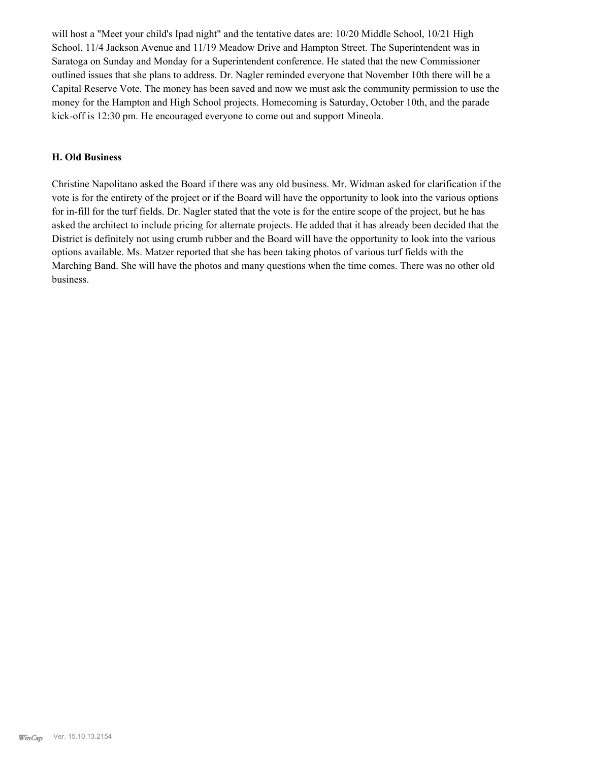will host a "Meet your child's Ipad night" and the tentative dates are: 10/20 Middle School, 10/21 High School, 11/4 Jackson Avenue and 11/19 Meadow Drive and Hampton Street. The Superintendent was in Saratoga on Sunday and Monday for a Superintendent conference. He stated that the new Commissioner outlined issues that she plans to address. Dr. Nagler reminded everyone that November 10th there will be a Capital Reserve Vote. The money has been saved and now we must ask the community permission to use the money for the Hampton and High School projects. Homecoming is Saturday, October 10th, and the parade kick-off is 12:30 pm. He encouraged everyone to come out and support Mineola.

#### **H. Old Business**

Christine Napolitano asked the Board if there was any old business. Mr. Widman asked for clarification if the vote is for the entirety of the project or if the Board will have the opportunity to look into the various options for in-fill for the turf fields. Dr. Nagler stated that the vote is for the entire scope of the project, but he has asked the architect to include pricing for alternate projects. He added that it has already been decided that the District is definitely not using crumb rubber and the Board will have the opportunity to look into the various options available. Ms. Matzer reported that she has been taking photos of various turf fields with the Marching Band. She will have the photos and many questions when the time comes. There was no other old business.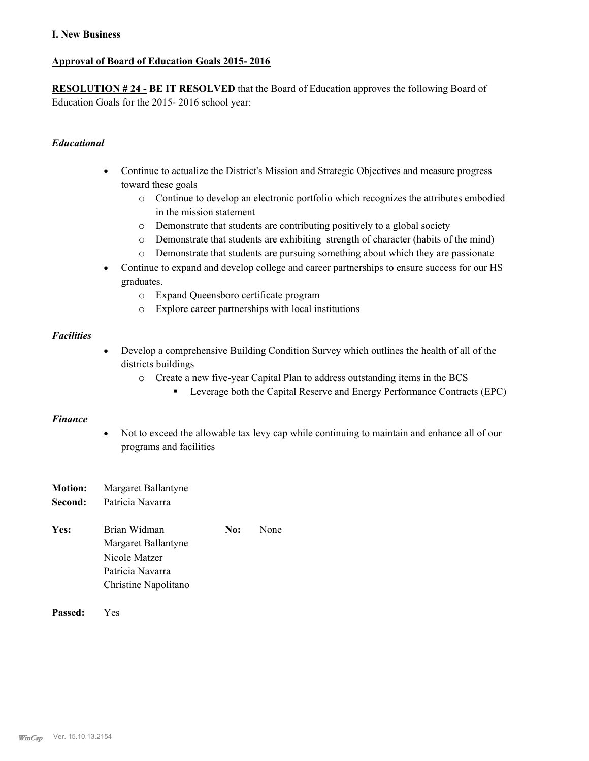## **I. New Business**

## **Approval of Board of Education Goals 2015- 2016**

**RESOLUTION # 24 - BE IT RESOLVED** that the Board of Education approves the following Board of Education Goals for the 2015- 2016 school year:

## *Educational*

- Continue to actualize the District's Mission and Strategic Objectives and measure progress toward these goals
	- o Continue to develop an electronic portfolio which recognizes the attributes embodied in the mission statement
	- o Demonstrate that students are contributing positively to a global society
	- o Demonstrate that students are exhibiting strength of character (habits of the mind)
	- o Demonstrate that students are pursuing something about which they are passionate
- · Continue to expand and develop college and career partnerships to ensure success for our HS graduates.
	- o Expand Queensboro certificate program
	- o Explore career partnerships with local institutions

### *Facilities*

- · Develop a comprehensive Building Condition Survey which outlines the health of all of the districts buildings
	- o Create a new five-year Capital Plan to address outstanding items in the BCS
		- Leverage both the Capital Reserve and Energy Performance Contracts (EPC)

#### *Finance*

- · Not to exceed the allowable tax levy cap while continuing to maintain and enhance all of our programs and facilities
- **Motion:** Margaret Ballantyne **Second:** Patricia Navarra
- Yes: Brian Widman **No:** None Margaret Ballantyne Nicole Matzer Patricia Navarra Christine Napolitano
- **Passed:** Yes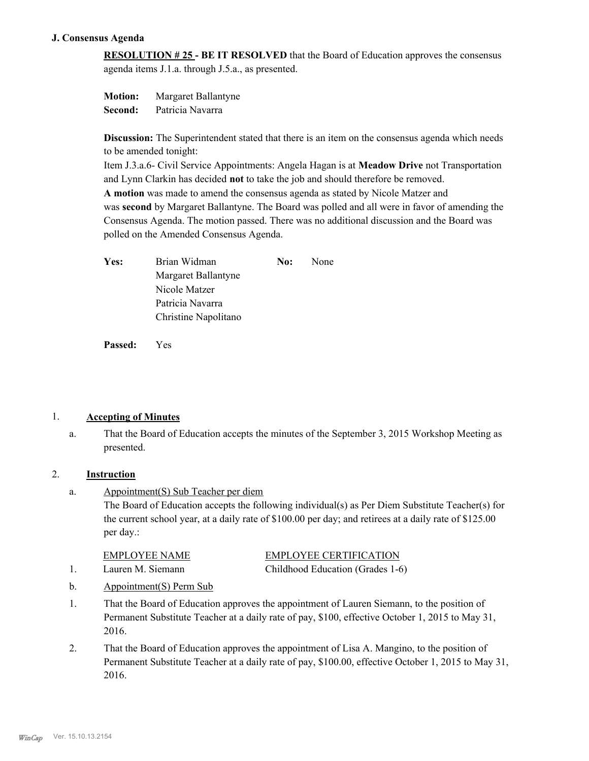## **J. Consensus Agenda**

**RESOLUTION # 25 - BE IT RESOLVED** that the Board of Education approves the consensus agenda items J.1.a. through J.5.a., as presented.

**Motion:** Margaret Ballantyne **Second:** Patricia Navarra

**Discussion:** The Superintendent stated that there is an item on the consensus agenda which needs to be amended tonight:

Item J.3.a.6- Civil Service Appointments: Angela Hagan is at **Meadow Drive** not Transportation and Lynn Clarkin has decided **not** to take the job and should therefore be removed. **A motion** was made to amend the consensus agenda as stated by Nicole Matzer and was **second** by Margaret Ballantyne. The Board was polled and all were in favor of amending the Consensus Agenda. The motion passed. There was no additional discussion and the Board was polled on the Amended Consensus Agenda.

| Yes: | Brian Widman         | No: | None |
|------|----------------------|-----|------|
|      | Margaret Ballantyne  |     |      |
|      | Nicole Matzer        |     |      |
|      | Patricia Navarra     |     |      |
|      | Christine Napolitano |     |      |

**Passed:** Yes

## 1. **Accepting of Minutes**

That the Board of Education accepts the minutes of the September 3, 2015 Workshop Meeting as presented. a.

## 2. **Instruction**

Appointment(S) Sub Teacher per diem The Board of Education accepts the following individual(s) as Per Diem Substitute Teacher(s) for the current school year, at a daily rate of \$100.00 per day; and retirees at a daily rate of \$125.00 per day.: a.

| EMPLOYEE NAME     | <b>EMPLOYEE CERTIFICATION</b>    |
|-------------------|----------------------------------|
| Lauren M. Siemann | Childhood Education (Grades 1-6) |

- b. Appointment(S) Perm Sub
- That the Board of Education approves the appointment of Lauren Siemann, to the position of Permanent Substitute Teacher at a daily rate of pay, \$100, effective October 1, 2015 to May 31, 2016. 1.
- That the Board of Education approves the appointment of Lisa A. Mangino, to the position of Permanent Substitute Teacher at a daily rate of pay, \$100.00, effective October 1, 2015 to May 31, 2016. 2.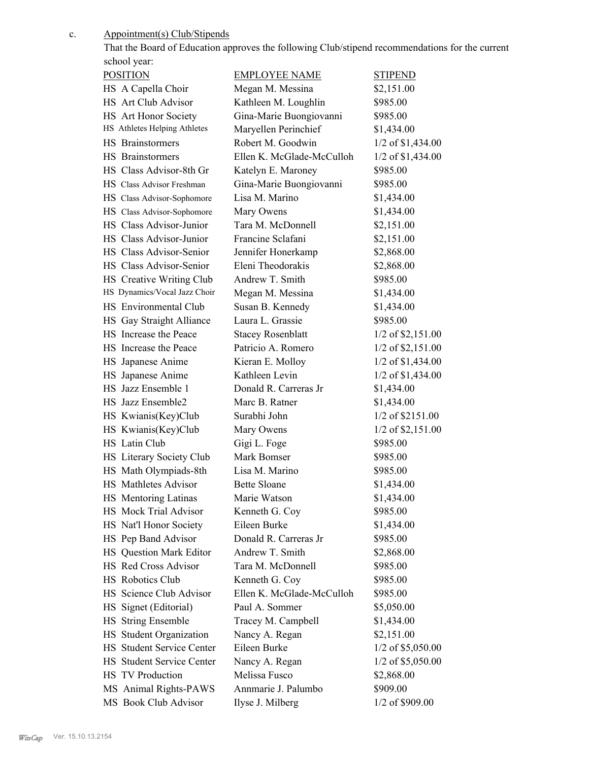c.

Appointment(s) Club/Stipends

|                              |                           | That the Board of Education approves the following Club/stipend recommendations for the current |
|------------------------------|---------------------------|-------------------------------------------------------------------------------------------------|
| school year:                 |                           |                                                                                                 |
| <b>POSITION</b>              | <b>EMPLOYEE NAME</b>      | <b>STIPEND</b>                                                                                  |
| HS A Capella Choir           | Megan M. Messina          | \$2,151.00                                                                                      |
| HS Art Club Advisor          | Kathleen M. Loughlin      | \$985.00                                                                                        |
| HS Art Honor Society         | Gina-Marie Buongiovanni   | \$985.00                                                                                        |
| HS Athletes Helping Athletes | Maryellen Perinchief      | \$1,434.00                                                                                      |
| <b>HS</b> Brainstormers      | Robert M. Goodwin         | $1/2$ of \$1,434.00                                                                             |
| HS Brainstormers             | Ellen K. McGlade-McCulloh | 1/2 of \$1,434.00                                                                               |
| HS Class Advisor-8th Gr      | Katelyn E. Maroney        | \$985.00                                                                                        |
| HS Class Advisor Freshman    | Gina-Marie Buongiovanni   | \$985.00                                                                                        |
| HS Class Advisor-Sophomore   | Lisa M. Marino            | \$1,434.00                                                                                      |
| HS Class Advisor-Sophomore   | Mary Owens                | \$1,434.00                                                                                      |
| HS Class Advisor-Junior      | Tara M. McDonnell         | \$2,151.00                                                                                      |
| HS Class Advisor-Junior      | Francine Sclafani         | \$2,151.00                                                                                      |
| HS Class Advisor-Senior      | Jennifer Honerkamp        | \$2,868.00                                                                                      |
| HS Class Advisor-Senior      | Eleni Theodorakis         | \$2,868.00                                                                                      |
| HS Creative Writing Club     | Andrew T. Smith           | \$985.00                                                                                        |
| HS Dynamics/Vocal Jazz Choir | Megan M. Messina          | \$1,434.00                                                                                      |
| HS Environmental Club        | Susan B. Kennedy          | \$1,434.00                                                                                      |
| HS Gay Straight Alliance     | Laura L. Grassie          | \$985.00                                                                                        |
| HS Increase the Peace        | <b>Stacey Rosenblatt</b>  | $1/2$ of \$2,151.00                                                                             |
| HS Increase the Peace        | Patricio A. Romero        | $1/2$ of \$2,151.00                                                                             |
| HS Japanese Anime            | Kieran E. Molloy          | 1/2 of \$1,434.00                                                                               |
| HS Japanese Anime            | Kathleen Levin            | 1/2 of \$1,434.00                                                                               |
| HS Jazz Ensemble 1           | Donald R. Carreras Jr     | \$1,434.00                                                                                      |
| HS Jazz Ensemble2            | Marc B. Ratner            | \$1,434.00                                                                                      |
| HS Kwianis(Key)Club          | Surabhi John              | 1/2 of \$2151.00                                                                                |
| HS Kwianis(Key)Club          | Mary Owens                | 1/2 of \$2,151.00                                                                               |
| HS Latin Club                | Gigi L. Foge              | \$985.00                                                                                        |
| HS Literary Society Club     | Mark Bomser               | \$985.00                                                                                        |
| HS Math Olympiads-8th        | Lisa M. Marino            | \$985.00                                                                                        |
| HS Mathletes Advisor         | <b>Bette Sloane</b>       | \$1,434.00                                                                                      |
| HS Mentoring Latinas         | Marie Watson              | \$1,434.00                                                                                      |
| HS Mock Trial Advisor        | Kenneth G. Coy            | \$985.00                                                                                        |
| HS Nat'l Honor Society       | Eileen Burke              | \$1,434.00                                                                                      |
| HS Pep Band Advisor          | Donald R. Carreras Jr     | \$985.00                                                                                        |
| HS Question Mark Editor      | Andrew T. Smith           | \$2,868.00                                                                                      |
| HS Red Cross Advisor         | Tara M. McDonnell         | \$985.00                                                                                        |
| HS Robotics Club             | Kenneth G. Coy            | \$985.00                                                                                        |
| HS Science Club Advisor      | Ellen K. McGlade-McCulloh | \$985.00                                                                                        |
| HS Signet (Editorial)        | Paul A. Sommer            | \$5,050.00                                                                                      |
| HS String Ensemble           | Tracey M. Campbell        | \$1,434.00                                                                                      |
| HS Student Organization      | Nancy A. Regan            | \$2,151.00                                                                                      |
| HS Student Service Center    | Eileen Burke              | $1/2$ of \$5,050.00                                                                             |
| HS Student Service Center    | Nancy A. Regan            | $1/2$ of \$5,050.00                                                                             |
| HS TV Production             | Melissa Fusco             | \$2,868.00                                                                                      |
| MS Animal Rights-PAWS        | Annmarie J. Palumbo       | \$909.00                                                                                        |
|                              |                           |                                                                                                 |

MS Book Club Advisor Ilyse J. Milberg 1/2 of \$909.00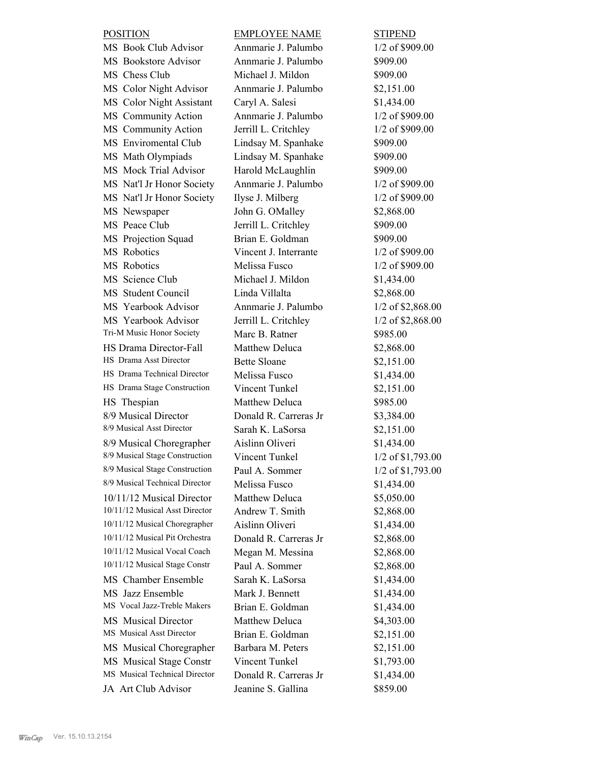| <b>POSITION</b>                | <b>EMPLOYEE NAME</b>  | <b>STIPEND</b>      |
|--------------------------------|-----------------------|---------------------|
| MS Book Club Advisor           | Annmarie J. Palumbo   | 1/2 of \$909.00     |
| MS Bookstore Advisor           | Annmarie J. Palumbo   | \$909.00            |
| MS Chess Club                  | Michael J. Mildon     | \$909.00            |
| MS Color Night Advisor         | Annmarie J. Palumbo   | \$2,151.00          |
| MS Color Night Assistant       | Caryl A. Salesi       | \$1,434.00          |
| MS Community Action            | Annmarie J. Palumbo   | 1/2 of \$909.00     |
| MS Community Action            | Jerrill L. Critchley  | 1/2 of \$909.00     |
| MS Enviromental Club           | Lindsay M. Spanhake   | \$909.00            |
| MS Math Olympiads              | Lindsay M. Spanhake   | \$909.00            |
| MS Mock Trial Advisor          | Harold McLaughlin     | \$909.00            |
| MS Nat'l Jr Honor Society      | Annmarie J. Palumbo   | 1/2 of \$909.00     |
| MS Nat'l Jr Honor Society      | Ilyse J. Milberg      | 1/2 of \$909.00     |
| MS Newspaper                   | John G. OMalley       | \$2,868.00          |
| MS Peace Club                  | Jerrill L. Critchley  | \$909.00            |
| MS Projection Squad            | Brian E. Goldman      | \$909.00            |
| MS Robotics                    | Vincent J. Interrante | 1/2 of \$909.00     |
| MS Robotics                    | Melissa Fusco         | 1/2 of \$909.00     |
| MS Science Club                | Michael J. Mildon     | \$1,434.00          |
| MS Student Council             | Linda Villalta        | \$2,868.00          |
| MS Yearbook Advisor            | Annmarie J. Palumbo   | 1/2 of \$2,868.00   |
| MS Yearbook Advisor            | Jerrill L. Critchley  | 1/2 of \$2,868.00   |
| Tri-M Music Honor Society      | Marc B. Ratner        | \$985.00            |
| HS Drama Director-Fall         | Matthew Deluca        | \$2,868.00          |
| HS Drama Asst Director         | <b>Bette Sloane</b>   | \$2,151.00          |
| HS Drama Technical Director    | Melissa Fusco         | \$1,434.00          |
| HS Drama Stage Construction    | Vincent Tunkel        | \$2,151.00          |
| HS Thespian                    | Matthew Deluca        | \$985.00            |
| 8/9 Musical Director           | Donald R. Carreras Jr | \$3,384.00          |
| 8/9 Musical Asst Director      | Sarah K. LaSorsa      | \$2,151.00          |
| 8/9 Musical Choregrapher       | Aislinn Oliveri       | \$1,434.00          |
| 8/9 Musical Stage Construction | Vincent Tunkel        | 1/2 of \$1,793.00   |
| 8/9 Musical Stage Construction | Paul A. Sommer        | $1/2$ of \$1,793.00 |
| 8/9 Musical Technical Director | Melissa Fusco         | \$1,434.00          |
| 10/11/12 Musical Director      | <b>Matthew Deluca</b> | \$5,050.00          |
| 10/11/12 Musical Asst Director | Andrew T. Smith       | \$2,868.00          |
| 10/11/12 Musical Choregrapher  | Aislinn Oliveri       | \$1,434.00          |
| 10/11/12 Musical Pit Orchestra | Donald R. Carreras Jr | \$2,868.00          |
| 10/11/12 Musical Vocal Coach   | Megan M. Messina      | \$2,868.00          |
| 10/11/12 Musical Stage Constr  | Paul A. Sommer        | \$2,868.00          |
| MS Chamber Ensemble            | Sarah K. LaSorsa      | \$1,434.00          |
| MS Jazz Ensemble               | Mark J. Bennett       | \$1,434.00          |
| MS Vocal Jazz-Treble Makers    | Brian E. Goldman      | \$1,434.00          |
| MS Musical Director            | Matthew Deluca        | \$4,303.00          |
| MS Musical Asst Director       | Brian E. Goldman      | \$2,151.00          |
| MS Musical Choregrapher        | Barbara M. Peters     | \$2,151.00          |
| MS Musical Stage Constr        | Vincent Tunkel        | \$1,793.00          |
| MS Musical Technical Director  | Donald R. Carreras Jr | \$1,434.00          |
| JA Art Club Advisor            | Jeanine S. Gallina    | \$859.00            |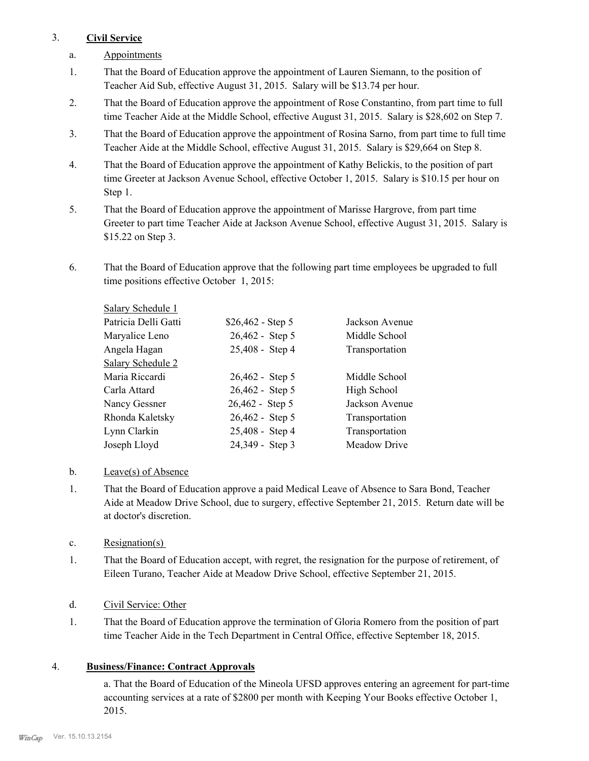## 3. **Civil Service**

- a. Appointments
- That the Board of Education approve the appointment of Lauren Siemann, to the position of Teacher Aid Sub, effective August 31, 2015. Salary will be \$13.74 per hour. 1.
- That the Board of Education approve the appointment of Rose Constantino, from part time to full time Teacher Aide at the Middle School, effective August 31, 2015. Salary is \$28,602 on Step 7. 2.
- That the Board of Education approve the appointment of Rosina Sarno, from part time to full time Teacher Aide at the Middle School, effective August 31, 2015. Salary is \$29,664 on Step 8. 3.
- That the Board of Education approve the appointment of Kathy Belickis, to the position of part time Greeter at Jackson Avenue School, effective October 1, 2015. Salary is \$10.15 per hour on Step 1. 4.
- That the Board of Education approve the appointment of Marisse Hargrove, from part time Greeter to part time Teacher Aide at Jackson Avenue School, effective August 31, 2015. Salary is \$15.22 on Step 3. 5.
- That the Board of Education approve that the following part time employees be upgraded to full time positions effective October 1, 2015: 6.

| Salary Schedule 1    |                    |                |
|----------------------|--------------------|----------------|
| Patricia Delli Gatti | $$26,462 - Step 5$ | Jackson Avenue |
| Maryalice Leno       | 26,462 - Step 5    | Middle School  |
| Angela Hagan         | 25,408 - Step 4    | Transportation |
| Salary Schedule 2    |                    |                |
| Maria Riccardi       | 26,462 - Step 5    | Middle School  |
| Carla Attard         | 26,462 - Step 5    | High School    |
| Nancy Gessner        | 26,462 - Step 5    | Jackson Avenue |
| Rhonda Kaletsky      | 26,462 - Step 5    | Transportation |
| Lynn Clarkin         | 25,408 - Step 4    | Transportation |
| Joseph Lloyd         | 24,349 - Step 3    | Meadow Drive   |

## b. Leave(s) of Absence

- That the Board of Education approve a paid Medical Leave of Absence to Sara Bond, Teacher Aide at Meadow Drive School, due to surgery, effective September 21, 2015. Return date will be at doctor's discretion. 1.
- c. Resignation(s)
- That the Board of Education accept, with regret, the resignation for the purpose of retirement, of Eileen Turano, Teacher Aide at Meadow Drive School, effective September 21, 2015. 1.

## d. Civil Service: Other

That the Board of Education approve the termination of Gloria Romero from the position of part time Teacher Aide in the Tech Department in Central Office, effective September 18, 2015. 1.

## 4. **Business/Finance: Contract Approvals**

a. That the Board of Education of the Mineola UFSD approves entering an agreement for part-time accounting services at a rate of \$2800 per month with Keeping Your Books effective October 1, 2015.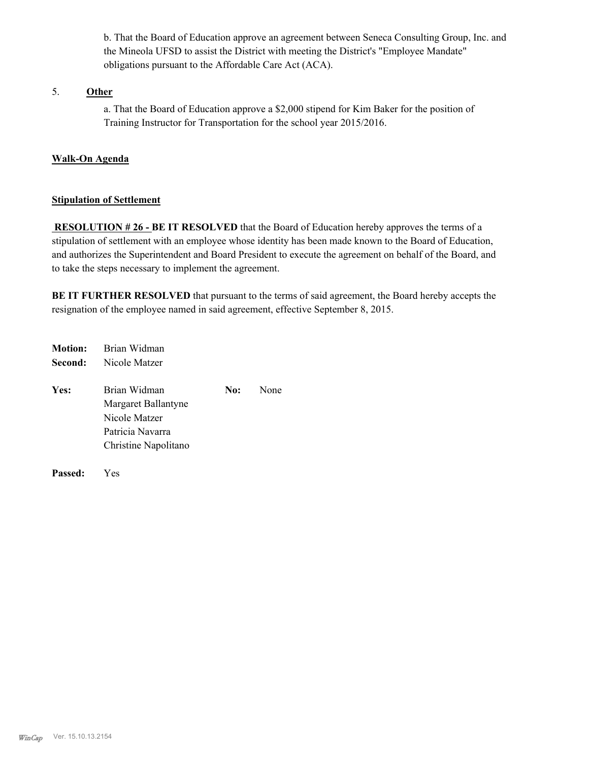b. That the Board of Education approve an agreement between Seneca Consulting Group, Inc. and the Mineola UFSD to assist the District with meeting the District's "Employee Mandate" obligations pursuant to the Affordable Care Act (ACA).

## 5. **Other**

a. That the Board of Education approve a \$2,000 stipend for Kim Baker for the position of Training Instructor for Transportation for the school year 2015/2016.

## **Walk-On Agenda**

#### **Stipulation of Settlement**

**RESOLUTION # 26 - BE IT RESOLVED** that the Board of Education hereby approves the terms of a stipulation of settlement with an employee whose identity has been made known to the Board of Education, and authorizes the Superintendent and Board President to execute the agreement on behalf of the Board, and to take the steps necessary to implement the agreement.

**BE IT FURTHER RESOLVED** that pursuant to the terms of said agreement, the Board hereby accepts the resignation of the employee named in said agreement, effective September 8, 2015.

| <b>Motion:</b> | Brian Widman                                                             |     |      |
|----------------|--------------------------------------------------------------------------|-----|------|
| Second:        | Nicole Matzer                                                            |     |      |
| Yes:           | Brian Widman<br>Margaret Ballantyne<br>Nicole Matzer<br>Patricia Navarra | No: | None |
|                | Christine Napolitano                                                     |     |      |

**Passed:** Yes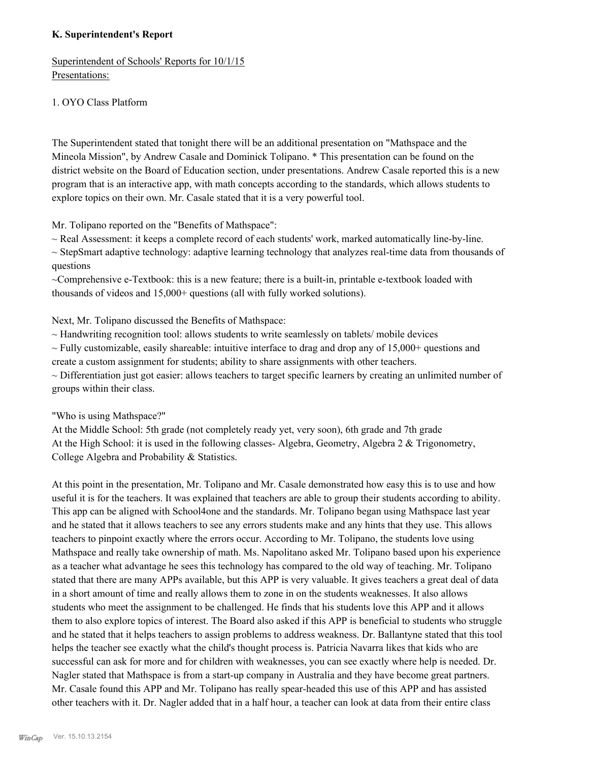## **K. Superintendent's Report**

Superintendent of Schools' Reports for 10/1/15 Presentations:

## 1. OYO Class Platform

The Superintendent stated that tonight there will be an additional presentation on "Mathspace and the Mineola Mission", by Andrew Casale and Dominick Tolipano. \* This presentation can be found on the district website on the Board of Education section, under presentations. Andrew Casale reported this is a new program that is an interactive app, with math concepts according to the standards, which allows students to explore topics on their own. Mr. Casale stated that it is a very powerful tool.

Mr. Tolipano reported on the "Benefits of Mathspace":

 $\sim$  Real Assessment: it keeps a complete record of each students' work, marked automatically line-by-line.

 $\sim$  StepSmart adaptive technology: adaptive learning technology that analyzes real-time data from thousands of questions

~Comprehensive e-Textbook: this is a new feature; there is a built-in, printable e-textbook loaded with thousands of videos and 15,000+ questions (all with fully worked solutions).

Next, Mr. Tolipano discussed the Benefits of Mathspace:

 $\sim$  Handwriting recognition tool: allows students to write seamlessly on tablets/ mobile devices

 $\sim$  Fully customizable, easily shareable: intuitive interface to drag and drop any of 15,000+ questions and create a custom assignment for students; ability to share assignments with other teachers.

~ Differentiation just got easier: allows teachers to target specific learners by creating an unlimited number of groups within their class.

"Who is using Mathspace?"

At the Middle School: 5th grade (not completely ready yet, very soon), 6th grade and 7th grade At the High School: it is used in the following classes- Algebra, Geometry, Algebra 2 & Trigonometry, College Algebra and Probability & Statistics.

At this point in the presentation, Mr. Tolipano and Mr. Casale demonstrated how easy this is to use and how useful it is for the teachers. It was explained that teachers are able to group their students according to ability. This app can be aligned with School4one and the standards. Mr. Tolipano began using Mathspace last year and he stated that it allows teachers to see any errors students make and any hints that they use. This allows teachers to pinpoint exactly where the errors occur. According to Mr. Tolipano, the students love using Mathspace and really take ownership of math. Ms. Napolitano asked Mr. Tolipano based upon his experience as a teacher what advantage he sees this technology has compared to the old way of teaching. Mr. Tolipano stated that there are many APPs available, but this APP is very valuable. It gives teachers a great deal of data in a short amount of time and really allows them to zone in on the students weaknesses. It also allows students who meet the assignment to be challenged. He finds that his students love this APP and it allows them to also explore topics of interest. The Board also asked if this APP is beneficial to students who struggle and he stated that it helps teachers to assign problems to address weakness. Dr. Ballantyne stated that this tool helps the teacher see exactly what the child's thought process is. Patricia Navarra likes that kids who are successful can ask for more and for children with weaknesses, you can see exactly where help is needed. Dr. Nagler stated that Mathspace is from a start-up company in Australia and they have become great partners. Mr. Casale found this APP and Mr. Tolipano has really spear-headed this use of this APP and has assisted other teachers with it. Dr. Nagler added that in a half hour, a teacher can look at data from their entire class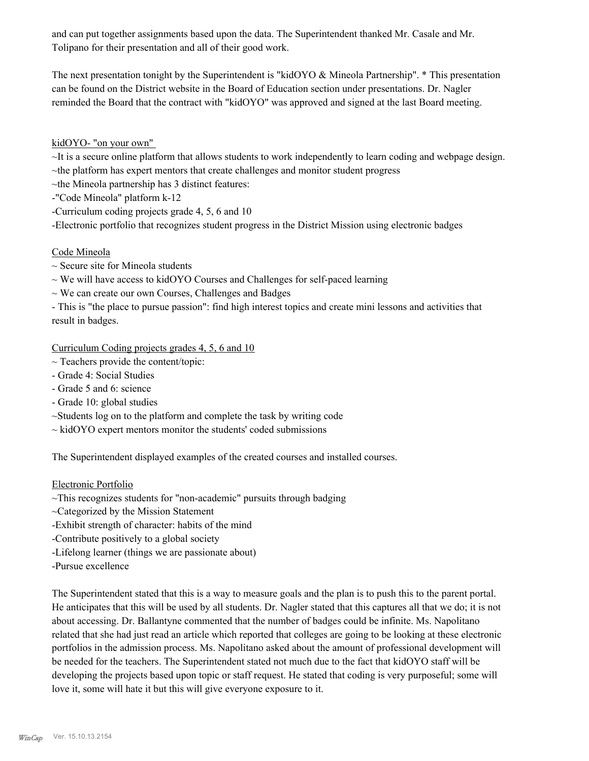and can put together assignments based upon the data. The Superintendent thanked Mr. Casale and Mr. Tolipano for their presentation and all of their good work.

The next presentation tonight by the Superintendent is "kidOYO & Mineola Partnership". \* This presentation can be found on the District website in the Board of Education section under presentations. Dr. Nagler reminded the Board that the contract with "kidOYO" was approved and signed at the last Board meeting.

## kidOYO- "on your own"

~It is a secure online platform that allows students to work independently to learn coding and webpage design.

- ~the platform has expert mentors that create challenges and monitor student progress
- $\nightharpoonup$ the Mineola partnership has 3 distinct features:
- -"Code Mineola" platform k-12
- -Curriculum coding projects grade 4, 5, 6 and 10

-Electronic portfolio that recognizes student progress in the District Mission using electronic badges

## Code Mineola

- $\sim$  Secure site for Mineola students
- $\sim$  We will have access to kidOYO Courses and Challenges for self-paced learning
- $\sim$  We can create our own Courses, Challenges and Badges

- This is "the place to pursue passion": find high interest topics and create mini lessons and activities that result in badges.

Curriculum Coding projects grades 4, 5, 6 and 10

- $\sim$  Teachers provide the content/topic:
- Grade 4: Social Studies
- Grade 5 and 6: science
- Grade 10: global studies
- ~Students log on to the platform and complete the task by writing code
- $\sim$  kidOYO expert mentors monitor the students' coded submissions

The Superintendent displayed examples of the created courses and installed courses.

## Electronic Portfolio

- ~This recognizes students for "non-academic" pursuits through badging
- ~Categorized by the Mission Statement
- -Exhibit strength of character: habits of the mind
- -Contribute positively to a global society
- -Lifelong learner (things we are passionate about)
- -Pursue excellence

The Superintendent stated that this is a way to measure goals and the plan is to push this to the parent portal. He anticipates that this will be used by all students. Dr. Nagler stated that this captures all that we do; it is not about accessing. Dr. Ballantyne commented that the number of badges could be infinite. Ms. Napolitano related that she had just read an article which reported that colleges are going to be looking at these electronic portfolios in the admission process. Ms. Napolitano asked about the amount of professional development will be needed for the teachers. The Superintendent stated not much due to the fact that kidOYO staff will be developing the projects based upon topic or staff request. He stated that coding is very purposeful; some will love it, some will hate it but this will give everyone exposure to it.